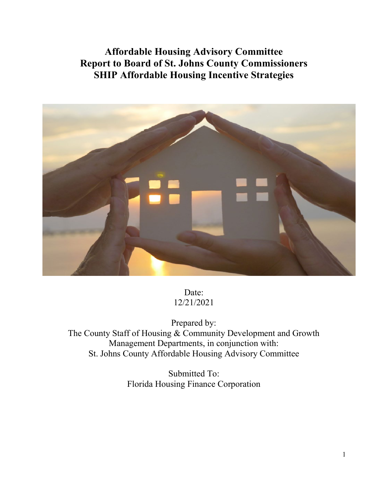# **Affordable Housing Advisory Committee Report to Board of St. Johns County Commissioners SHIP Affordable Housing Incentive Strategies**



Date: 12/21/2021

Prepared by: The County Staff of Housing & Community Development and Growth Management Departments, in conjunction with: St. Johns County Affordable Housing Advisory Committee

> Submitted To: Florida Housing Finance Corporation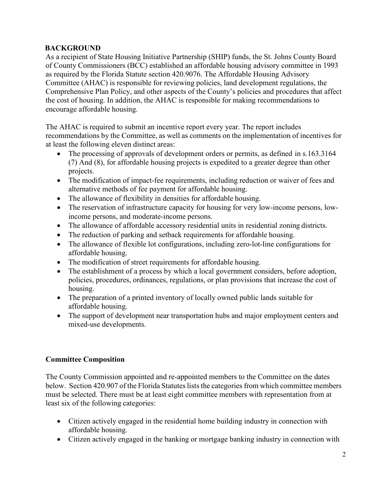## **BACKGROUND**

As a recipient of State Housing Initiative Partnership (SHIP) funds, the St. Johns County Board of County Commissioners (BCC) established an affordable housing advisory committee in 1993 as required by the Florida Statute section 420.9076. The Affordable Housing Advisory Committee (AHAC) is responsible for reviewing policies, land development regulations, the Comprehensive Plan Policy, and other aspects of the County's policies and procedures that affect the cost of housing. In addition, the AHAC is responsible for making recommendations to encourage affordable housing.

The AHAC is required to submit an incentive report every year. The report includes recommendations by the Committee, as well as comments on the implementation of incentives for at least the following eleven distinct areas:

- The processing of approvals of development orders or permits, as defined in s.163.3164 (7) And (8), for affordable housing projects is expedited to a greater degree than other projects.
- The modification of impact-fee requirements, including reduction or waiver of fees and alternative methods of fee payment for affordable housing.
- The allowance of flexibility in densities for affordable housing.
- The reservation of infrastructure capacity for housing for very low-income persons, lowincome persons, and moderate-income persons.
- The allowance of affordable accessory residential units in residential zoning districts.
- The reduction of parking and setback requirements for affordable housing.
- The allowance of flexible lot configurations, including zero-lot-line configurations for affordable housing.
- The modification of street requirements for affordable housing.
- The establishment of a process by which a local government considers, before adoption, policies, procedures, ordinances, regulations, or plan provisions that increase the cost of housing.
- The preparation of a printed inventory of locally owned public lands suitable for affordable housing.
- The support of development near transportation hubs and major employment centers and mixed-use developments.

# **Committee Composition**

The County Commission appointed and re-appointed members to the Committee on the dates below. Section 420.907 of the Florida Statutes lists the categories from which committee members must be selected. There must be at least eight committee members with representation from at least six of the following categories:

- Citizen actively engaged in the residential home building industry in connection with affordable housing.
- Citizen actively engaged in the banking or mortgage banking industry in connection with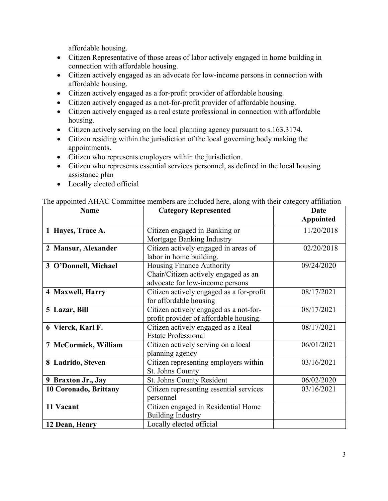affordable housing.

- Citizen Representative of those areas of labor actively engaged in home building in connection with affordable housing.
- Citizen actively engaged as an advocate for low-income persons in connection with affordable housing.
- Citizen actively engaged as a for-profit provider of affordable housing.
- Citizen actively engaged as a not-for-profit provider of affordable housing.
- Citizen actively engaged as a real estate professional in connection with affordable housing.
- Citizen actively serving on the local planning agency pursuant to s.163.3174.
- Citizen residing within the jurisdiction of the local governing body making the appointments.
- Citizen who represents employers within the jurisdiction.
- Citizen who represents essential services personnel, as defined in the local housing assistance plan
- Locally elected official

| <b>Name</b>           | <b>Category Represented</b>              | Date             |
|-----------------------|------------------------------------------|------------------|
|                       |                                          | <b>Appointed</b> |
| 1 Hayes, Trace A.     | Citizen engaged in Banking or            | 11/20/2018       |
|                       | Mortgage Banking Industry                |                  |
| 2 Mansur, Alexander   | Citizen actively engaged in areas of     | 02/20/2018       |
|                       | labor in home building.                  |                  |
| 3 O'Donnell, Michael  | Housing Finance Authority                | 09/24/2020       |
|                       | Chair/Citizen actively engaged as an     |                  |
|                       | advocate for low-income persons          |                  |
| 4 Maxwell, Harry      | Citizen actively engaged as a for-profit | 08/17/2021       |
|                       | for affordable housing                   |                  |
| 5 Lazar, Bill         | Citizen actively engaged as a not-for-   | 08/17/2021       |
|                       | profit provider of affordable housing.   |                  |
| 6 Vierck, Karl F.     | Citizen actively engaged as a Real       | 08/17/2021       |
|                       | <b>Estate Professional</b>               |                  |
| 7 McCormick, William  | Citizen actively serving on a local      | 06/01/2021       |
|                       | planning agency                          |                  |
| 8 Ladrido, Steven     | Citizen representing employers within    | 03/16/2021       |
|                       | St. Johns County                         |                  |
| 9 Braxton Jr., Jay    | St. Johns County Resident                | 06/02/2020       |
| 10 Coronado, Brittany | Citizen representing essential services  | 03/16/2021       |
|                       | personnel                                |                  |
| 11 Vacant             | Citizen engaged in Residential Home      |                  |
|                       | <b>Building Industry</b>                 |                  |
| 12 Dean, Henry        | Locally elected official                 |                  |

#### The appointed AHAC Committee members are included here, along with their category affiliation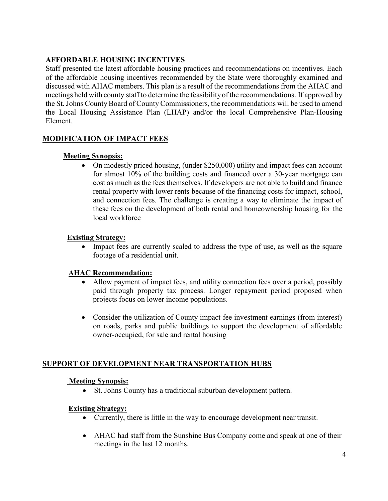# **AFFORDABLE HOUSING INCENTIVES**

Staff presented the latest affordable housing practices and recommendations on incentives. Each of the affordable housing incentives recommended by the State were thoroughly examined and discussed with AHAC members. This plan is a result of the recommendations from the AHAC and meetings held with county staff to determine the feasibilityof the recommendations. If approved by the St. Johns County Board of County Commissioners, the recommendations will be used to amend the Local Housing Assistance Plan (LHAP) and/or the local Comprehensive Plan-Housing Element.

## **MODIFICATION OF IMPACT FEES**

#### **Meeting Synopsis:**

• On modestly priced housing, (under \$250,000) utility and impact fees can account for almost 10% of the building costs and financed over a 30-year mortgage can cost as much as the fees themselves. If developers are not able to build and finance rental property with lower rents because of the financing costs for impact, school, and connection fees. The challenge is creating a way to eliminate the impact of these fees on the development of both rental and homeownership housing for the local workforce

## **Existing Strategy:**

• Impact fees are currently scaled to address the type of use, as well as the square footage of a residential unit.

## **AHAC Recommendation:**

- Allow payment of impact fees, and utility connection fees over a period, possibly paid through property tax process. Longer repayment period proposed when projects focus on lower income populations.
- Consider the utilization of County impact fee investment earnings (from interest) on roads, parks and public buildings to support the development of affordable owner-occupied, for sale and rental housing

## **SUPPORT OF DEVELOPMENT NEAR TRANSPORTATION HUBS**

## **Meeting Synopsis:**

• St. Johns County has a traditional suburban development pattern.

#### **Existing Strategy:**

- Currently, there is little in the way to encourage development near transit.
- AHAC had staff from the Sunshine Bus Company come and speak at one of their meetings in the last 12 months.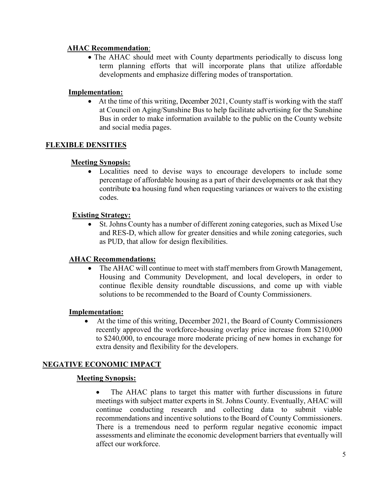## **AHAC Recommendation**:

• The AHAC should meet with County departments periodically to discuss long term planning efforts that will incorporate plans that utilize affordable developments and emphasize differing modes of transportation.

## **Implementation:**

• At the time of this writing, December 2021, County staff is working with the staff at Council on Aging/Sunshine Bus to help facilitate advertising for the Sunshine Bus in order to make information available to the public on the County website and social media pages.

#### **FLEXIBLE DENSITIES**

#### **Meeting Synopsis:**

• Localities need to devise ways to encourage developers to include some percentage of affordable housing as a part of their developments or ask that they contribute toa housing fund when requesting variances or waivers to the existing codes.

#### **Existing Strategy:**

• St. Johns County has a number of different zoning categories, such as Mixed Use and RES-D, which allow for greater densities and while zoning categories, such as PUD, that allow for design flexibilities.

#### **AHAC Recommendations:**

• The AHAC will continue to meet with staff members from Growth Management, Housing and Community Development, and local developers, in order to continue flexible density roundtable discussions, and come up with viable solutions to be recommended to the Board of County Commissioners.

#### **Implementation:**

• At the time of this writing, December 2021, the Board of County Commissioners recently approved the workforce-housing overlay price increase from \$210,000 to \$240,000, to encourage more moderate pricing of new homes in exchange for extra density and flexibility for the developers.

## **NEGATIVE ECONOMIC IMPACT**

#### **Meeting Synopsis:**

The AHAC plans to target this matter with further discussions in future meetings with subject matter experts in St. Johns County. Eventually, AHAC will continue conducting research and collecting data to submit viable recommendations and incentive solutions to the Board of County Commissioners. There is a tremendous need to perform regular negative economic impact assessments and eliminate the economic development barriers that eventually will affect our workforce.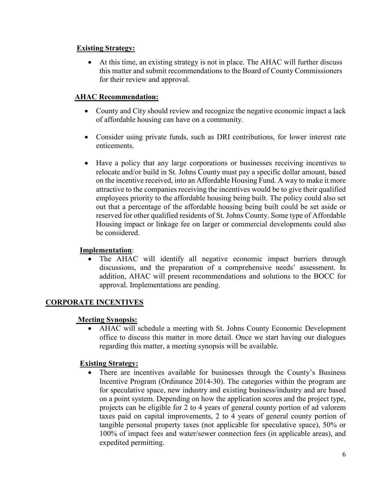## **Existing Strategy:**

• At this time, an existing strategy is not in place. The AHAC will further discuss this matter and submit recommendations to the Board of County Commissioners for their review and approval.

## **AHAC Recommendation:**

- County and City should review and recognize the negative economic impact a lack of affordable housing can have on a community.
- Consider using private funds, such as DRI contributions, for lower interest rate enticements.
- Have a policy that any large corporations or businesses receiving incentives to relocate and/or build in St. Johns County must pay a specific dollar amount, based on the incentive received, into an Affordable Housing Fund. A way to make it more attractive to the companies receiving the incentives would be to give their qualified employees priority to the affordable housing being built. The policy could also set out that a percentage of the affordable housing being built could be set aside or reserved for other qualified residents of St. Johns County. Some type of Affordable Housing impact or linkage fee on larger or commercial developments could also be considered.

#### **Implementation**:

• The AHAC will identify all negative economic impact barriers through discussions, and the preparation of a comprehensive needs' assessment. In addition, AHAC will present recommendations and solutions to the BOCC for approval. Implementations are pending.

## **CORPORATE INCENTIVES**

## **Meeting Synopsis:**

• AHAC will schedule a meeting with St. Johns County Economic Development office to discuss this matter in more detail. Once we start having our dialogues regarding this matter, a meeting synopsis will be available.

## **Existing Strategy:**

• There are incentives available for businesses through the County's Business Incentive Program (Ordinance 2014-30). The categories within the program are for speculative space, new industry and existing business/industry and are based on a point system. Depending on how the application scores and the project type, projects can be eligible for 2 to 4 years of general county portion of ad valorem taxes paid on capital improvements, 2 to 4 years of general county portion of tangible personal property taxes (not applicable for speculative space), 50% or 100% of impact fees and water/sewer connection fees (in applicable areas), and expedited permitting.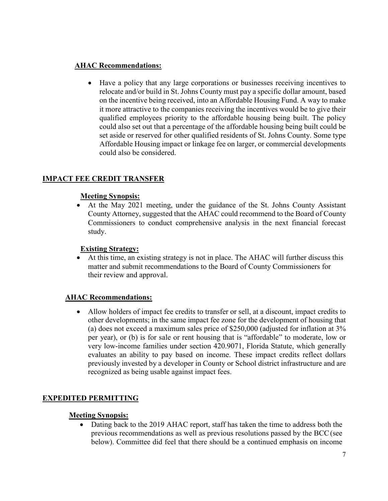## **AHAC Recommendations:**

• Have a policy that any large corporations or businesses receiving incentives to relocate and/or build in St. Johns County must pay a specific dollar amount, based on the incentive being received, into an Affordable Housing Fund. A way to make it more attractive to the companies receiving the incentives would be to give their qualified employees priority to the affordable housing being built. The policy could also set out that a percentage of the affordable housing being built could be set aside or reserved for other qualified residents of St. Johns County. Some type Affordable Housing impact or linkage fee on larger, or commercial developments could also be considered.

# **IMPACT FEE CREDIT TRANSFER**

## **Meeting Synopsis:**

• At the May 2021 meeting, under the guidance of the St. Johns County Assistant County Attorney, suggested that the AHAC could recommend to the Board of County Commissioners to conduct comprehensive analysis in the next financial forecast study.

## **Existing Strategy:**

• At this time, an existing strategy is not in place. The AHAC will further discuss this matter and submit recommendations to the Board of County Commissioners for their review and approval.

## **AHAC Recommendations:**

• Allow holders of impact fee credits to transfer or sell, at a discount, impact credits to other developments; in the same impact fee zone for the development of housing that (a) does not exceed a maximum sales price of \$250,000 (adjusted for inflation at 3% per year), or (b) is for sale or rent housing that is "affordable" to moderate, low or very low-income families under section 420.9071, Florida Statute, which generally evaluates an ability to pay based on income. These impact credits reflect dollars previously invested by a developer in County or School district infrastructure and are recognized as being usable against impact fees.

# **EXPEDITED PERMITTING**

## **Meeting Synopsis:**

• Dating back to the 2019 AHAC report, staff has taken the time to address both the previous recommendations as well as previous resolutions passed by the BCC(see below). Committee did feel that there should be a continued emphasis on income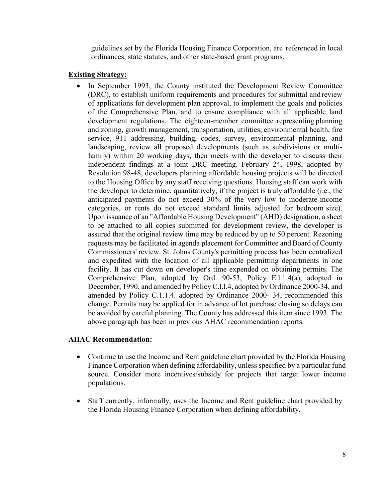guidelines set by the Florida Housing Finance Corporation, are referenced in local ordinances, state statutes, and other state-based grant programs.

#### **Existing Strategy:**

In September 1993, the County instituted the Development Review Committee (DRC), to establish uniform requirements and procedures for submittal and review of applications for development plan approval, to implement the goals and policies of the Comprehensive Plan, and to ensure compliance with all applicable land development regulations. The eighteen-member committee representing planning and zoning, growth management, transportation, utilities, environmental health, fire service, 911 addressing, building, codes, survey, environmental planning, and landscaping, review all proposed developments (such as subdivisions or multifamily) within 20 working days, then meets with the developer to discuss their independent findings at a joint DRC meeting. February 24, 1998, adopted by Resolution 98-48, developers planning affordable housing projects will be directed to the Housing Office by any staff receiving questions. Housing staff can work with the developer to determine, quantitatively, if the project is truly affordable (i.e., the anticipated payments do not exceed 30% of the very low to moderate-income categories, or rents do not exceed standard limits adjusted for bedroom size). Upon issuance of an "Affordable Housing Development" (AHD) designation, a sheet to be attached to all copies submitted for development review, the developer is assured that the original review time may be reduced by up to 50 percent. Rezoning requests may be facilitated in agenda placement forCommittee and Board of County Commissioners' review. St. Johns County's permitting process has been centralized and expedited with the location of all applicable permitting departments in one facility. It has cut down on developer's time expended on obtaining permits. The Comprehensive Plan, adopted by Ord. 90-53, Policy E.l.1.4(a), adopted in December, 1990, and amended by Policy C.l.l.4, adopted by Ordinance 2000-34, and amended by Policy C.1.1.4. adopted by Ordinance 2000- 34, recommended this change. Permits may be applied for in advance of lot purchase closing so delays can be avoided by careful planning. The County has addressed this item since 1993. The above paragraph has been in previous AHAC recommendation reports.

## **AHAC Recommendation:**

- Continue to use the Income and Rent guideline chart provided by the Florida Housing Finance Corporation when defining affordability, unless specified by a particular fund source. Consider more incentives/subsidy for projects that target lower income populations.
- Staff currently, informally, uses the Income and Rent guideline chart provided by the Florida Housing Finance Corporation when defining affordability.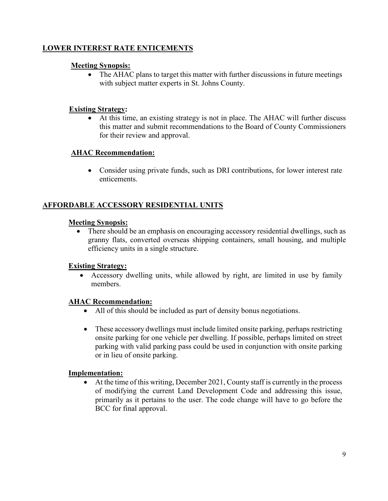# **LOWER INTEREST RATE ENTICEMENTS**

#### **Meeting Synopsis:**

• The AHAC plans to target this matter with further discussions in future meetings with subject matter experts in St. Johns County.

#### **Existing Strategy:**

• At this time, an existing strategy is not in place. The AHAC will further discuss this matter and submit recommendations to the Board of County Commissioners for their review and approval.

## **AHAC Recommendation:**

• Consider using private funds, such as DRI contributions, for lower interest rate enticements.

## **AFFORDABLE ACCESSORY RESIDENTIAL UNITS**

#### **Meeting Synopsis:**

• There should be an emphasis on encouraging accessory residential dwellings, such as granny flats, converted overseas shipping containers, small housing, and multiple efficiency units in a single structure.

#### **Existing Strategy:**

• Accessory dwelling units, while allowed by right, are limited in use by family members.

#### **AHAC Recommendation:**

- All of this should be included as part of density bonus negotiations.
- These accessory dwellings must include limited onsite parking, perhaps restricting onsite parking for one vehicle per dwelling. If possible, perhaps limited on street parking with valid parking pass could be used in conjunction with onsite parking or in lieu of onsite parking.

#### **Implementation:**

• At the time of this writing, December 2021, County staff is currently in the process of modifying the current Land Development Code and addressing this issue, primarily as it pertains to the user. The code change will have to go before the BCC for final approval.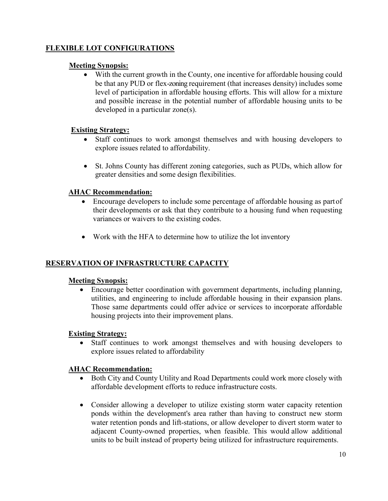## **FLEXIBLE LOT CONFIGURATIONS**

## **Meeting Synopsis:**

• With the current growth in the County, one incentive for affordable housing could be that any PUD or flex-zoning requirement (that increases density) includes some level of participation in affordable housing efforts. This will allow for a mixture and possible increase in the potential number of affordable housing units to be developed in a particular zone(s).

#### **Existing Strategy:**

- Staff continues to work amongst themselves and with housing developers to explore issues related to affordability.
- St. Johns County has different zoning categories, such as PUDs, which allow for greater densities and some design flexibilities.

#### **AHAC Recommendation:**

- Encourage developers to include some percentage of affordable housing as partof their developments or ask that they contribute to a housing fund when requesting variances or waivers to the existing codes.
- Work with the HFA to determine how to utilize the lot inventory

## **RESERVATION OF INFRASTRUCTURE CAPACITY**

#### **Meeting Synopsis:**

• Encourage better coordination with government departments, including planning, utilities, and engineering to include affordable housing in their expansion plans. Those same departments could offer advice or services to incorporate affordable housing projects into their improvement plans.

#### **Existing Strategy:**

• Staff continues to work amongst themselves and with housing developers to explore issues related to affordability

## **AHAC Recommendation:**

- Both City and County Utility and Road Departments could work more closely with affordable development efforts to reduce infrastructure costs.
- Consider allowing a developer to utilize existing storm water capacity retention ponds within the development's area rather than having to construct new storm water retention ponds and lift-stations, or allow developer to divert storm water to adjacent County-owned properties, when feasible. This would allow additional units to be built instead of property being utilized for infrastructure requirements.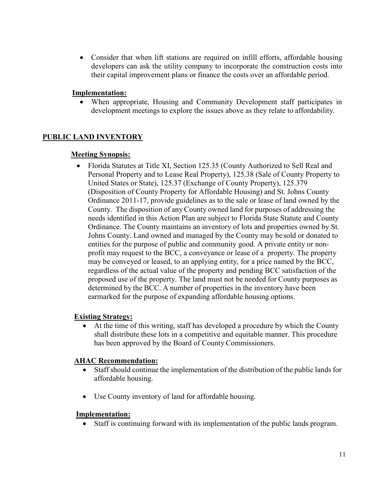• Consider that when lift stations are required on infill efforts, affordable housing developers can ask the utility company to incorporate the construction costs into their capital improvement plans or finance the costs over an affordable period.

## **Implementation:**

• When appropriate, Housing and Community Development staff participates in development meetings to explore the issues above as they relate to affordability.

# **PUBLIC LAND INVENTORY**

## **Meeting Synopsis:**

• Florida Statutes at Title XI, Section 125.35 (County Authorized to Sell Real and Personal Property and to Lease Real Property), 125.38 (Sale of County Property to United States or State), 125.37 (Exchange of County Property), 125.379 (Disposition of County Property for Affordable Housing) and St. Johns County Ordinance 2011-17, provide guidelines as to the sale or lease of land owned by the County. The disposition of any County owned land for purposes of addressing the needs identified in this Action Plan are subject to Florida State Statute and County Ordinance. The County maintains an inventory of lots and properties owned by St. Johns County. Land owned and managed by the County may be sold or donated to entities for the purpose of public and community good. A private entity or nonprofit may request to the BCC, a conveyance or lease of a property. The property may be conveyed or leased, to an applying entity, for a price named by the BCC, regardless of the actual value of the property and pending BCC satisfaction of the proposed use of the property. The land must not be needed for County purposes as determined by the BCC. A number of properties in the inventory have been earmarked for the purpose of expanding affordable housing options.

## **Existing Strategy:**

• At the time of this writing, staff has developed a procedure by which the County shall distribute these lots in a competitive and equitable manner. This procedure has been approved by the Board of County Commissioners.

## **AHAC Recommendation:**

- Staff should continue the implementation of the distribution of the public lands for affordable housing.
- Use County inventory of land for affordable housing.

## **Implementation:**

• Staff is continuing forward with its implementation of the public lands program.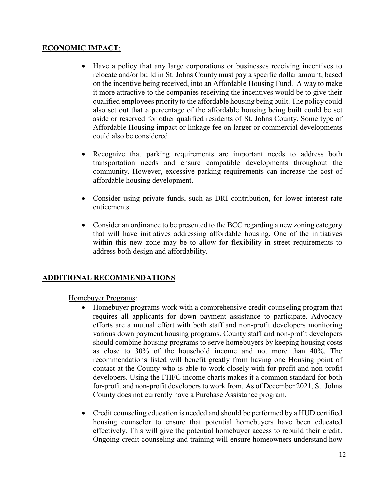## **ECONOMIC IMPACT**:

- Have a policy that any large corporations or businesses receiving incentives to relocate and/or build in St. Johns County must pay a specific dollar amount, based on the incentive being received, into an Affordable Housing Fund. A way to make it more attractive to the companies receiving the incentives would be to give their qualified employees priority to the affordable housing being built. The policy could also set out that a percentage of the affordable housing being built could be set aside or reserved for other qualified residents of St. Johns County. Some type of Affordable Housing impact or linkage fee on larger or commercial developments could also be considered.
- Recognize that parking requirements are important needs to address both transportation needs and ensure compatible developments throughout the community. However, excessive parking requirements can increase the cost of affordable housing development.
- Consider using private funds, such as DRI contribution, for lower interest rate enticements.
- Consider an ordinance to be presented to the BCC regarding a new zoning category that will have initiatives addressing affordable housing. One of the initiatives within this new zone may be to allow for flexibility in street requirements to address both design and affordability.

## **ADDITIONAL RECOMMENDATIONS**

Homebuyer Programs:

- Homebuyer programs work with a comprehensive credit-counseling program that requires all applicants for down payment assistance to participate. Advocacy efforts are a mutual effort with both staff and non-profit developers monitoring various down payment housing programs. County staff and non-profit developers should combine housing programs to serve homebuyers by keeping housing costs as close to 30% of the household income and not more than 40%. The recommendations listed will benefit greatly from having one Housing point of contact at the County who is able to work closely with for-profit and non-profit developers. Using the FHFC income charts makes it a common standard for both for-profit and non-profit developers to work from. As of December 2021, St. Johns County does not currently have a Purchase Assistance program.
- Credit counseling education is needed and should be performed by a HUD certified housing counselor to ensure that potential homebuyers have been educated effectively. This will give the potential homebuyer access to rebuild their credit. Ongoing credit counseling and training will ensure homeowners understand how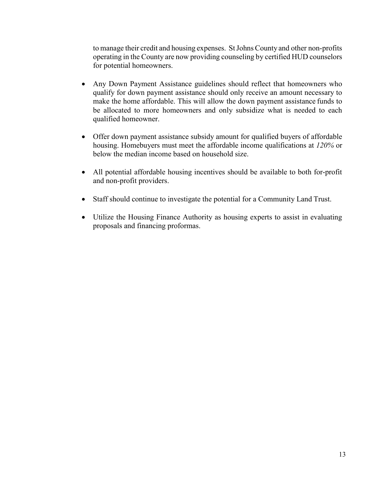to manage their credit and housing expenses. StJohns County and other non-profits operating in the County are now providing counseling by certified HUD counselors for potential homeowners.

- Any Down Payment Assistance guidelines should reflect that homeowners who qualify for down payment assistance should only receive an amount necessary to make the home affordable. This will allow the down payment assistance funds to be allocated to more homeowners and only subsidize what is needed to each qualified homeowner.
- Offer down payment assistance subsidy amount for qualified buyers of affordable housing. Homebuyers must meet the affordable income qualifications at *120%* or below the median income based on household size.
- All potential affordable housing incentives should be available to both for-profit and non-profit providers.
- Staff should continue to investigate the potential for a Community Land Trust.
- Utilize the Housing Finance Authority as housing experts to assist in evaluating proposals and financing proformas.